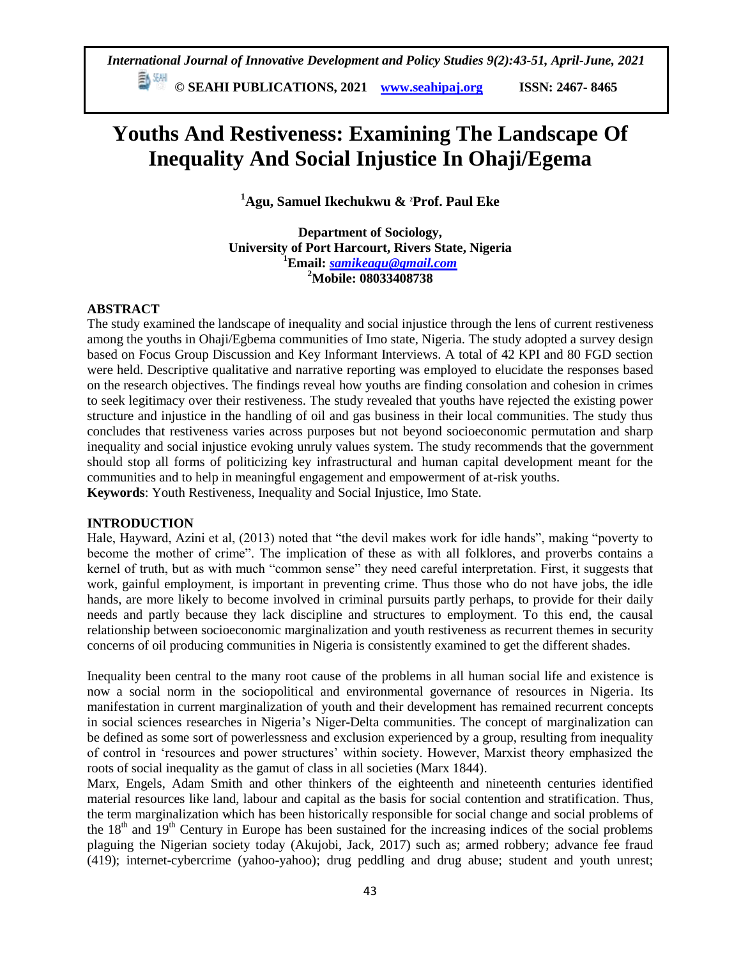# **Youths And Restiveness: Examining The Landscape Of Inequality And Social Injustice In Ohaji/Egema**

**<sup>1</sup>Agu, Samuel Ikechukwu & 2Prof. Paul Eke**

**Department of Sociology, University of Port Harcourt, Rivers State, Nigeria <sup>1</sup>Email:** *[samikeagu@gmail.com](mailto:samikeagu@gmail.com)* **<sup>2</sup>Mobile: 08033408738**

## **ABSTRACT**

The study examined the landscape of inequality and social injustice through the lens of current restiveness among the youths in Ohaji/Egbema communities of Imo state, Nigeria. The study adopted a survey design based on Focus Group Discussion and Key Informant Interviews. A total of 42 KPI and 80 FGD section were held. Descriptive qualitative and narrative reporting was employed to elucidate the responses based on the research objectives. The findings reveal how youths are finding consolation and cohesion in crimes to seek legitimacy over their restiveness. The study revealed that youths have rejected the existing power structure and injustice in the handling of oil and gas business in their local communities. The study thus concludes that restiveness varies across purposes but not beyond socioeconomic permutation and sharp inequality and social injustice evoking unruly values system. The study recommends that the government should stop all forms of politicizing key infrastructural and human capital development meant for the communities and to help in meaningful engagement and empowerment of at-risk youths. **Keywords**: Youth Restiveness, Inequality and Social Injustice, Imo State.

# **INTRODUCTION**

Hale, Hayward, Azini et al, (2013) noted that "the devil makes work for idle hands", making "poverty to become the mother of crime". The implication of these as with all folklores, and proverbs contains a kernel of truth, but as with much "common sense" they need careful interpretation. First, it suggests that work, gainful employment, is important in preventing crime. Thus those who do not have jobs, the idle hands, are more likely to become involved in criminal pursuits partly perhaps, to provide for their daily needs and partly because they lack discipline and structures to employment. To this end, the causal relationship between socioeconomic marginalization and youth restiveness as recurrent themes in security concerns of oil producing communities in Nigeria is consistently examined to get the different shades.

Inequality been central to the many root cause of the problems in all human social life and existence is now a social norm in the sociopolitical and environmental governance of resources in Nigeria. Its manifestation in current marginalization of youth and their development has remained recurrent concepts in social sciences researches in Nigeria"s Niger-Delta communities. The concept of marginalization can be defined as some sort of powerlessness and exclusion experienced by a group, resulting from inequality of control in "resources and power structures" within society. However, Marxist theory emphasized the roots of social inequality as the gamut of class in all societies (Marx 1844).

Marx, Engels, Adam Smith and other thinkers of the eighteenth and nineteenth centuries identified material resources like land, labour and capital as the basis for social contention and stratification. Thus, the term marginalization which has been historically responsible for social change and social problems of the  $18<sup>th</sup>$  and  $19<sup>th</sup>$  Century in Europe has been sustained for the increasing indices of the social problems plaguing the Nigerian society today (Akujobi, Jack, 2017) such as; armed robbery; advance fee fraud (419); internet-cybercrime (yahoo-yahoo); drug peddling and drug abuse; student and youth unrest;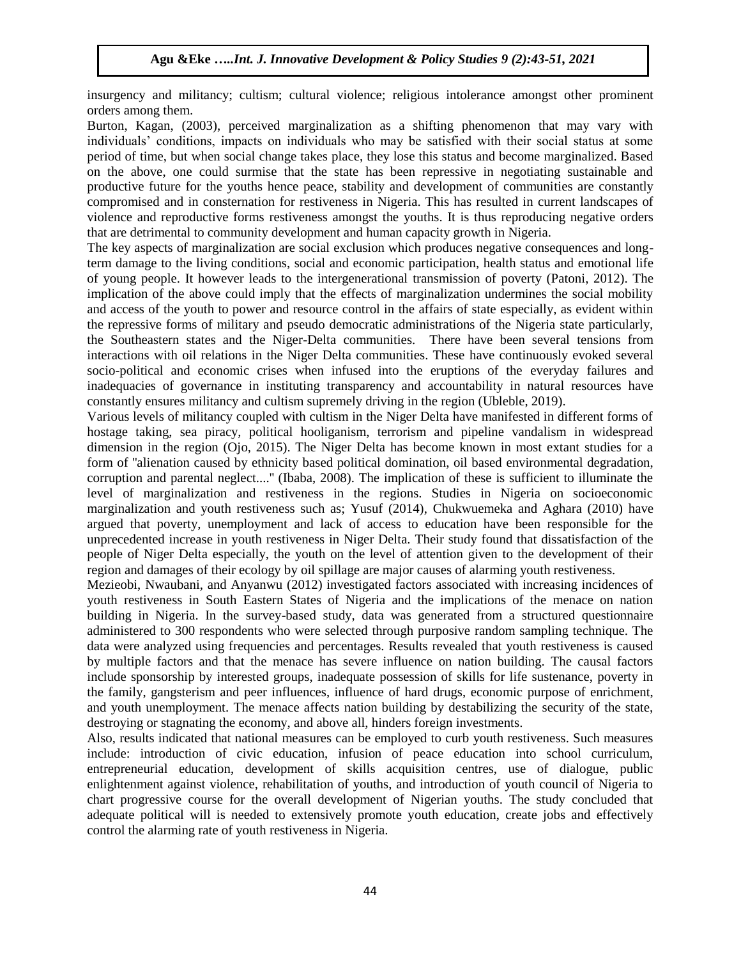insurgency and militancy; cultism; cultural violence; religious intolerance amongst other prominent orders among them.

Burton, Kagan, (2003), perceived marginalization as a shifting phenomenon that may vary with individuals" conditions, impacts on individuals who may be satisfied with their social status at some period of time, but when social change takes place, they lose this status and become marginalized. Based on the above, one could surmise that the state has been repressive in negotiating sustainable and productive future for the youths hence peace, stability and development of communities are constantly compromised and in consternation for restiveness in Nigeria. This has resulted in current landscapes of violence and reproductive forms restiveness amongst the youths. It is thus reproducing negative orders that are detrimental to community development and human capacity growth in Nigeria.

The key aspects of marginalization are social exclusion which produces negative consequences and longterm damage to the living conditions, social and economic participation, health status and emotional life of young people. It however leads to the intergenerational transmission of poverty (Patoni, 2012). The implication of the above could imply that the effects of marginalization undermines the social mobility and access of the youth to power and resource control in the affairs of state especially, as evident within the repressive forms of military and pseudo democratic administrations of the Nigeria state particularly, the Southeastern states and the Niger-Delta communities. There have been several tensions from interactions with oil relations in the Niger Delta communities. These have continuously evoked several socio-political and economic crises when infused into the eruptions of the everyday failures and inadequacies of governance in instituting transparency and accountability in natural resources have constantly ensures militancy and cultism supremely driving in the region (Ubleble, 2019).

Various levels of militancy coupled with cultism in the Niger Delta have manifested in different forms of hostage taking, sea piracy, political hooliganism, terrorism and pipeline vandalism in widespread dimension in the region (Ojo, 2015). The Niger Delta has become known in most extant studies for a form of ''alienation caused by ethnicity based political domination, oil based environmental degradation, corruption and parental neglect....'' (Ibaba, 2008). The implication of these is sufficient to illuminate the level of marginalization and restiveness in the regions. Studies in Nigeria on socioeconomic marginalization and youth restiveness such as; Yusuf (2014), Chukwuemeka and Aghara (2010) have argued that poverty, unemployment and lack of access to education have been responsible for the unprecedented increase in youth restiveness in Niger Delta. Their study found that dissatisfaction of the people of Niger Delta especially, the youth on the level of attention given to the development of their region and damages of their ecology by oil spillage are major causes of alarming youth restiveness.

Mezieobi, Nwaubani, and Anyanwu (2012) investigated factors associated with increasing incidences of youth restiveness in South Eastern States of Nigeria and the implications of the menace on nation building in Nigeria. In the survey-based study, data was generated from a structured questionnaire administered to 300 respondents who were selected through purposive random sampling technique. The data were analyzed using frequencies and percentages. Results revealed that youth restiveness is caused by multiple factors and that the menace has severe influence on nation building. The causal factors include sponsorship by interested groups, inadequate possession of skills for life sustenance, poverty in the family, gangsterism and peer influences, influence of hard drugs, economic purpose of enrichment, and youth unemployment. The menace affects nation building by destabilizing the security of the state, destroying or stagnating the economy, and above all, hinders foreign investments.

Also, results indicated that national measures can be employed to curb youth restiveness. Such measures include: introduction of civic education, infusion of peace education into school curriculum, entrepreneurial education, development of skills acquisition centres, use of dialogue, public enlightenment against violence, rehabilitation of youths, and introduction of youth council of Nigeria to chart progressive course for the overall development of Nigerian youths. The study concluded that adequate political will is needed to extensively promote youth education, create jobs and effectively control the alarming rate of youth restiveness in Nigeria.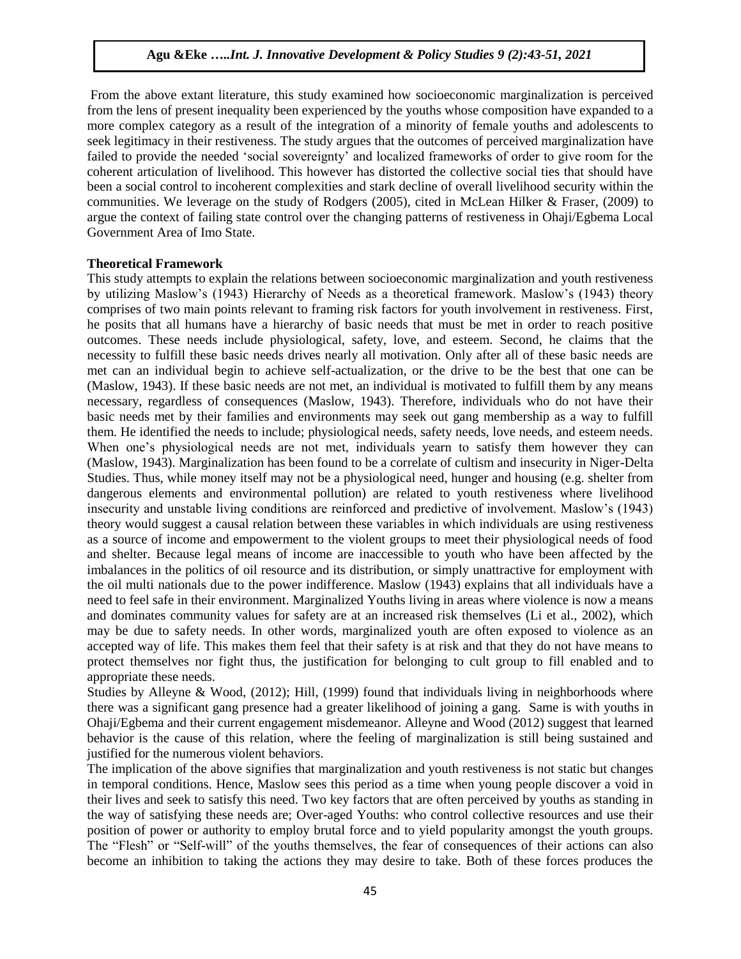From the above extant literature, this study examined how socioeconomic marginalization is perceived from the lens of present inequality been experienced by the youths whose composition have expanded to a more complex category as a result of the integration of a minority of female youths and adolescents to seek legitimacy in their restiveness. The study argues that the outcomes of perceived marginalization have failed to provide the needed "social sovereignty" and localized frameworks of order to give room for the coherent articulation of livelihood. This however has distorted the collective social ties that should have been a social control to incoherent complexities and stark decline of overall livelihood security within the communities. We leverage on the study of Rodgers (2005), cited in McLean Hilker & Fraser, (2009) to argue the context of failing state control over the changing patterns of restiveness in Ohaji/Egbema Local Government Area of Imo State.

### **Theoretical Framework**

This study attempts to explain the relations between socioeconomic marginalization and youth restiveness by utilizing Maslow"s (1943) Hierarchy of Needs as a theoretical framework. Maslow"s (1943) theory comprises of two main points relevant to framing risk factors for youth involvement in restiveness. First, he posits that all humans have a hierarchy of basic needs that must be met in order to reach positive outcomes. These needs include physiological, safety, love, and esteem. Second, he claims that the necessity to fulfill these basic needs drives nearly all motivation. Only after all of these basic needs are met can an individual begin to achieve self-actualization, or the drive to be the best that one can be (Maslow, 1943). If these basic needs are not met, an individual is motivated to fulfill them by any means necessary, regardless of consequences (Maslow, 1943). Therefore, individuals who do not have their basic needs met by their families and environments may seek out gang membership as a way to fulfill them. He identified the needs to include; physiological needs, safety needs, love needs, and esteem needs. When one's physiological needs are not met, individuals yearn to satisfy them however they can (Maslow, 1943). Marginalization has been found to be a correlate of cultism and insecurity in Niger-Delta Studies. Thus, while money itself may not be a physiological need, hunger and housing (e.g. shelter from dangerous elements and environmental pollution) are related to youth restiveness where livelihood insecurity and unstable living conditions are reinforced and predictive of involvement. Maslow"s (1943) theory would suggest a causal relation between these variables in which individuals are using restiveness as a source of income and empowerment to the violent groups to meet their physiological needs of food and shelter. Because legal means of income are inaccessible to youth who have been affected by the imbalances in the politics of oil resource and its distribution, or simply unattractive for employment with the oil multi nationals due to the power indifference. Maslow (1943) explains that all individuals have a need to feel safe in their environment. Marginalized Youths living in areas where violence is now a means and dominates community values for safety are at an increased risk themselves (Li et al., 2002), which may be due to safety needs. In other words, marginalized youth are often exposed to violence as an accepted way of life. This makes them feel that their safety is at risk and that they do not have means to protect themselves nor fight thus, the justification for belonging to cult group to fill enabled and to appropriate these needs.

Studies by Alleyne & Wood, (2012); Hill, (1999) found that individuals living in neighborhoods where there was a significant gang presence had a greater likelihood of joining a gang. Same is with youths in Ohaji/Egbema and their current engagement misdemeanor. Alleyne and Wood (2012) suggest that learned behavior is the cause of this relation, where the feeling of marginalization is still being sustained and justified for the numerous violent behaviors.

The implication of the above signifies that marginalization and youth restiveness is not static but changes in temporal conditions. Hence, Maslow sees this period as a time when young people discover a void in their lives and seek to satisfy this need. Two key factors that are often perceived by youths as standing in the way of satisfying these needs are; Over-aged Youths: who control collective resources and use their position of power or authority to employ brutal force and to yield popularity amongst the youth groups. The "Flesh" or "Self-will" of the youths themselves, the fear of consequences of their actions can also become an inhibition to taking the actions they may desire to take. Both of these forces produces the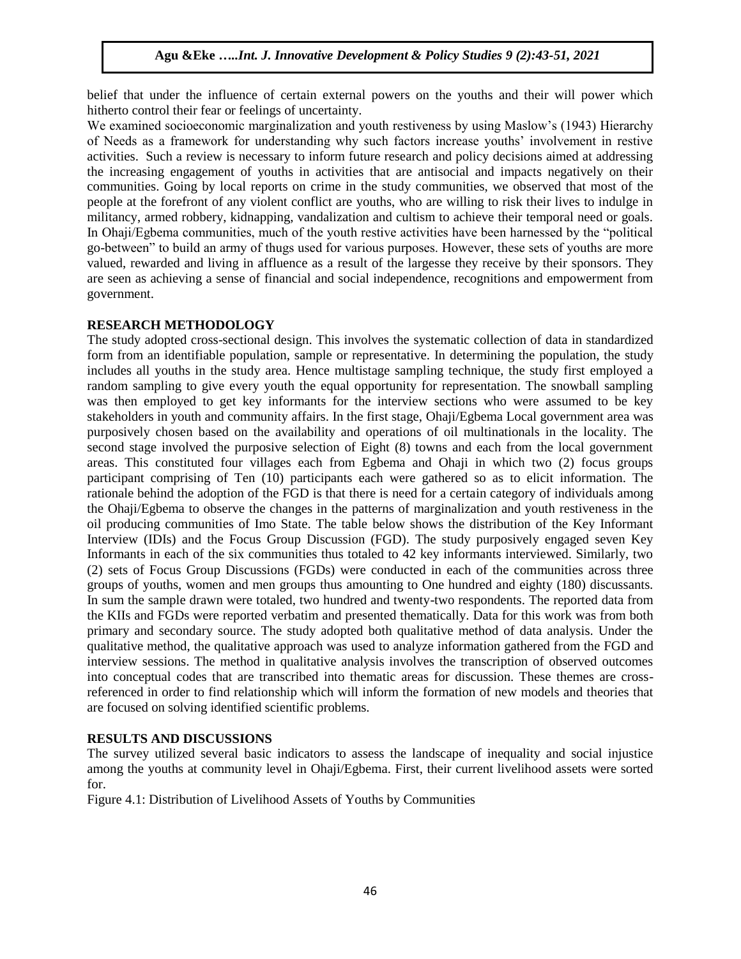belief that under the influence of certain external powers on the youths and their will power which hitherto control their fear or feelings of uncertainty.

We examined socioeconomic marginalization and youth restiveness by using Maslow's (1943) Hierarchy of Needs as a framework for understanding why such factors increase youths" involvement in restive activities. Such a review is necessary to inform future research and policy decisions aimed at addressing the increasing engagement of youths in activities that are antisocial and impacts negatively on their communities. Going by local reports on crime in the study communities, we observed that most of the people at the forefront of any violent conflict are youths, who are willing to risk their lives to indulge in militancy, armed robbery, kidnapping, vandalization and cultism to achieve their temporal need or goals. In Ohaji/Egbema communities, much of the youth restive activities have been harnessed by the "political go-between" to build an army of thugs used for various purposes. However, these sets of youths are more valued, rewarded and living in affluence as a result of the largesse they receive by their sponsors. They are seen as achieving a sense of financial and social independence, recognitions and empowerment from government.

## **RESEARCH METHODOLOGY**

The study adopted cross-sectional design. This involves the systematic collection of data in standardized form from an identifiable population, sample or representative. In determining the population, the study includes all youths in the study area. Hence multistage sampling technique, the study first employed a random sampling to give every youth the equal opportunity for representation. The snowball sampling was then employed to get key informants for the interview sections who were assumed to be key stakeholders in youth and community affairs. In the first stage, Ohaji/Egbema Local government area was purposively chosen based on the availability and operations of oil multinationals in the locality. The second stage involved the purposive selection of Eight (8) towns and each from the local government areas. This constituted four villages each from Egbema and Ohaji in which two (2) focus groups participant comprising of Ten (10) participants each were gathered so as to elicit information. The rationale behind the adoption of the FGD is that there is need for a certain category of individuals among the Ohaji/Egbema to observe the changes in the patterns of marginalization and youth restiveness in the oil producing communities of Imo State. The table below shows the distribution of the Key Informant Interview (IDIs) and the Focus Group Discussion (FGD). The study purposively engaged seven Key Informants in each of the six communities thus totaled to 42 key informants interviewed. Similarly, two (2) sets of Focus Group Discussions (FGDs) were conducted in each of the communities across three groups of youths, women and men groups thus amounting to One hundred and eighty (180) discussants. In sum the sample drawn were totaled, two hundred and twenty-two respondents. The reported data from the KIIs and FGDs were reported verbatim and presented thematically. Data for this work was from both primary and secondary source. The study adopted both qualitative method of data analysis. Under the qualitative method, the qualitative approach was used to analyze information gathered from the FGD and interview sessions. The method in qualitative analysis involves the transcription of observed outcomes into conceptual codes that are transcribed into thematic areas for discussion. These themes are crossreferenced in order to find relationship which will inform the formation of new models and theories that are focused on solving identified scientific problems.

# **RESULTS AND DISCUSSIONS**

The survey utilized several basic indicators to assess the landscape of inequality and social injustice among the youths at community level in Ohaji/Egbema. First, their current livelihood assets were sorted for.

Figure 4.1: Distribution of Livelihood Assets of Youths by Communities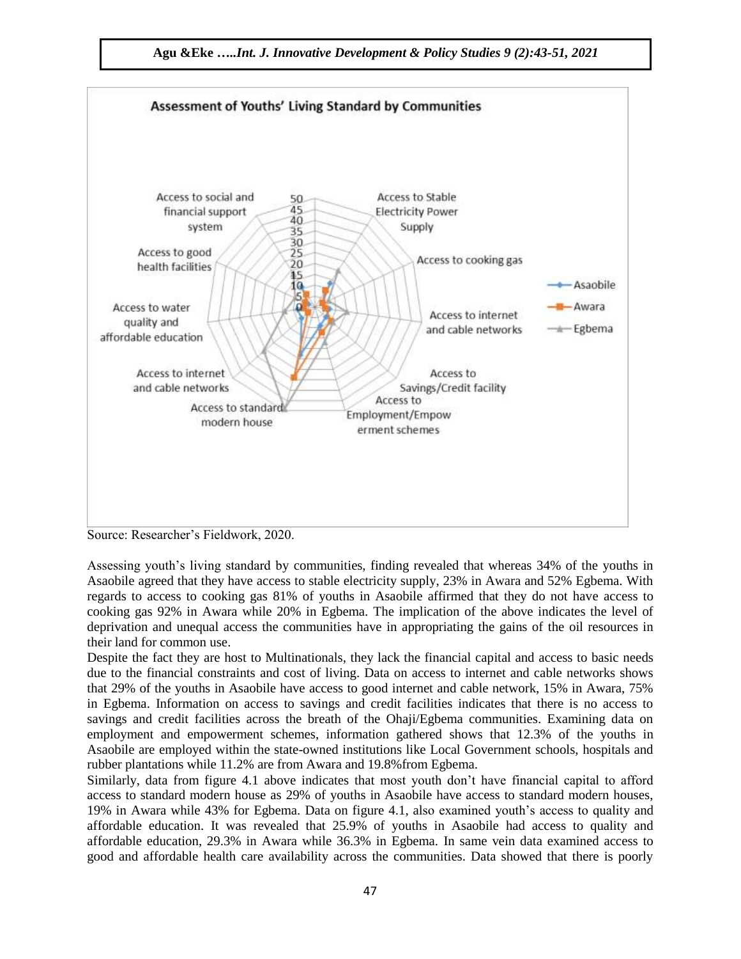



Source: Researcher"s Fieldwork, 2020.

Assessing youth's living standard by communities, finding revealed that whereas 34% of the youths in Asaobile agreed that they have access to stable electricity supply, 23% in Awara and 52% Egbema. With regards to access to cooking gas 81% of youths in Asaobile affirmed that they do not have access to cooking gas 92% in Awara while 20% in Egbema. The implication of the above indicates the level of deprivation and unequal access the communities have in appropriating the gains of the oil resources in their land for common use.

Despite the fact they are host to Multinationals, they lack the financial capital and access to basic needs due to the financial constraints and cost of living. Data on access to internet and cable networks shows that 29% of the youths in Asaobile have access to good internet and cable network, 15% in Awara, 75% in Egbema. Information on access to savings and credit facilities indicates that there is no access to savings and credit facilities across the breath of the Ohaji/Egbema communities. Examining data on employment and empowerment schemes, information gathered shows that 12.3% of the youths in Asaobile are employed within the state-owned institutions like Local Government schools, hospitals and rubber plantations while 11.2% are from Awara and 19.8%from Egbema.

Similarly, data from figure 4.1 above indicates that most youth don"t have financial capital to afford access to standard modern house as 29% of youths in Asaobile have access to standard modern houses, 19% in Awara while 43% for Egbema. Data on figure 4.1, also examined youth"s access to quality and affordable education. It was revealed that 25.9% of youths in Asaobile had access to quality and affordable education, 29.3% in Awara while 36.3% in Egbema. In same vein data examined access to good and affordable health care availability across the communities. Data showed that there is poorly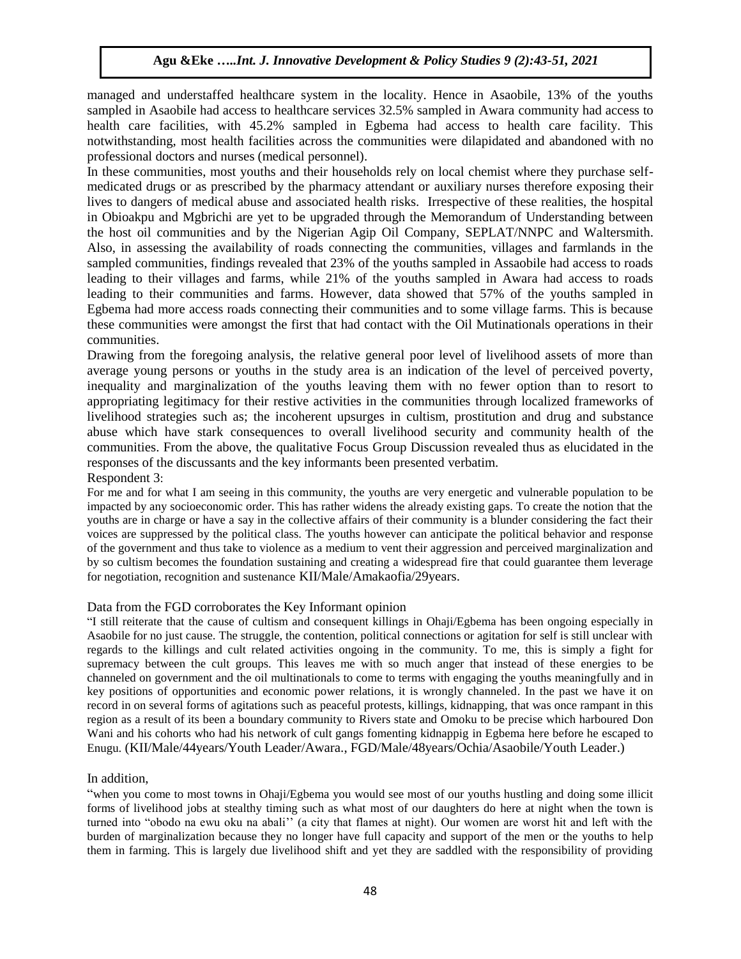managed and understaffed healthcare system in the locality. Hence in Asaobile, 13% of the youths sampled in Asaobile had access to healthcare services 32.5% sampled in Awara community had access to health care facilities, with 45.2% sampled in Egbema had access to health care facility. This notwithstanding, most health facilities across the communities were dilapidated and abandoned with no professional doctors and nurses (medical personnel).

In these communities, most youths and their households rely on local chemist where they purchase selfmedicated drugs or as prescribed by the pharmacy attendant or auxiliary nurses therefore exposing their lives to dangers of medical abuse and associated health risks. Irrespective of these realities, the hospital in Obioakpu and Mgbrichi are yet to be upgraded through the Memorandum of Understanding between the host oil communities and by the Nigerian Agip Oil Company, SEPLAT/NNPC and Waltersmith. Also, in assessing the availability of roads connecting the communities, villages and farmlands in the sampled communities, findings revealed that 23% of the youths sampled in Assaobile had access to roads leading to their villages and farms, while 21% of the youths sampled in Awara had access to roads leading to their communities and farms. However, data showed that 57% of the youths sampled in Egbema had more access roads connecting their communities and to some village farms. This is because these communities were amongst the first that had contact with the Oil Mutinationals operations in their communities.

Drawing from the foregoing analysis, the relative general poor level of livelihood assets of more than average young persons or youths in the study area is an indication of the level of perceived poverty, inequality and marginalization of the youths leaving them with no fewer option than to resort to appropriating legitimacy for their restive activities in the communities through localized frameworks of livelihood strategies such as; the incoherent upsurges in cultism, prostitution and drug and substance abuse which have stark consequences to overall livelihood security and community health of the communities. From the above, the qualitative Focus Group Discussion revealed thus as elucidated in the responses of the discussants and the key informants been presented verbatim.

Respondent 3:

For me and for what I am seeing in this community, the youths are very energetic and vulnerable population to be impacted by any socioeconomic order. This has rather widens the already existing gaps. To create the notion that the youths are in charge or have a say in the collective affairs of their community is a blunder considering the fact their voices are suppressed by the political class. The youths however can anticipate the political behavior and response of the government and thus take to violence as a medium to vent their aggression and perceived marginalization and by so cultism becomes the foundation sustaining and creating a widespread fire that could guarantee them leverage for negotiation, recognition and sustenance KII/Male/Amakaofia/29years.

#### Data from the FGD corroborates the Key Informant opinion

"I still reiterate that the cause of cultism and consequent killings in Ohaji/Egbema has been ongoing especially in Asaobile for no just cause. The struggle, the contention, political connections or agitation for self is still unclear with regards to the killings and cult related activities ongoing in the community. To me, this is simply a fight for supremacy between the cult groups. This leaves me with so much anger that instead of these energies to be channeled on government and the oil multinationals to come to terms with engaging the youths meaningfully and in key positions of opportunities and economic power relations, it is wrongly channeled. In the past we have it on record in on several forms of agitations such as peaceful protests, killings, kidnapping, that was once rampant in this region as a result of its been a boundary community to Rivers state and Omoku to be precise which harboured Don Wani and his cohorts who had his network of cult gangs fomenting kidnappig in Egbema here before he escaped to Enugu. (KII/Male/44years/Youth Leader/Awara., FGD/Male/48years/Ochia/Asaobile/Youth Leader.)

## In addition,

"when you come to most towns in Ohaji/Egbema you would see most of our youths hustling and doing some illicit forms of livelihood jobs at stealthy timing such as what most of our daughters do here at night when the town is turned into "obodo na ewu oku na abali"" (a city that flames at night). Our women are worst hit and left with the burden of marginalization because they no longer have full capacity and support of the men or the youths to help them in farming. This is largely due livelihood shift and yet they are saddled with the responsibility of providing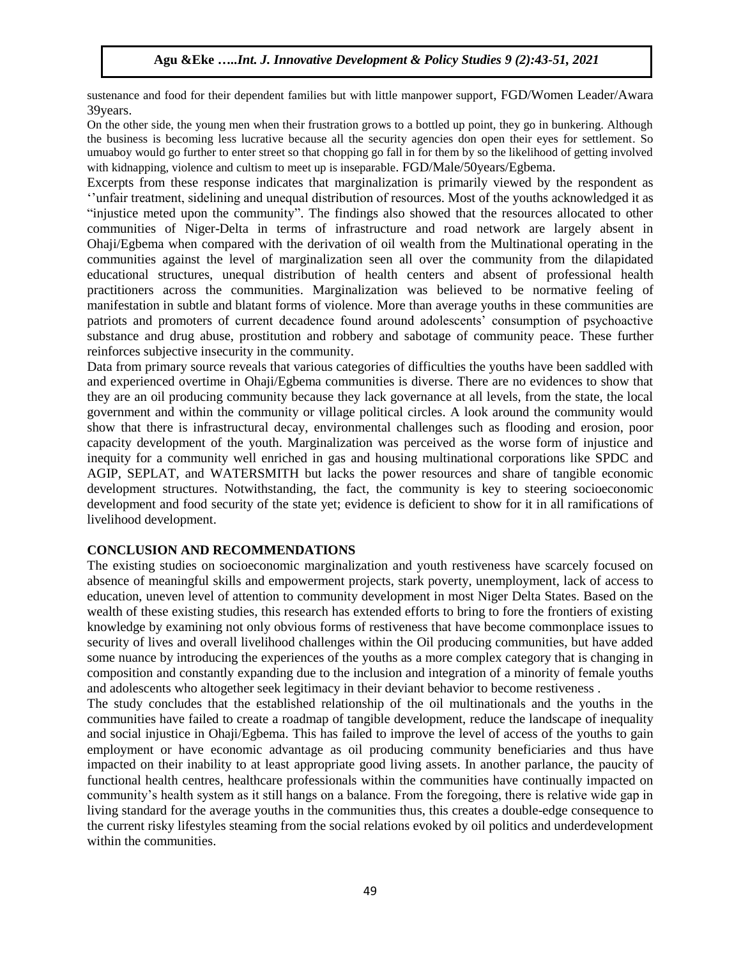sustenance and food for their dependent families but with little manpower support, FGD/Women Leader/Awara 39years.

On the other side, the young men when their frustration grows to a bottled up point, they go in bunkering. Although the business is becoming less lucrative because all the security agencies don open their eyes for settlement. So umuaboy would go further to enter street so that chopping go fall in for them by so the likelihood of getting involved with kidnapping, violence and cultism to meet up is inseparable. FGD/Male/50years/Egbema.

Excerpts from these response indicates that marginalization is primarily viewed by the respondent as ""unfair treatment, sidelining and unequal distribution of resources. Most of the youths acknowledged it as "injustice meted upon the community". The findings also showed that the resources allocated to other communities of Niger-Delta in terms of infrastructure and road network are largely absent in Ohaji/Egbema when compared with the derivation of oil wealth from the Multinational operating in the communities against the level of marginalization seen all over the community from the dilapidated educational structures, unequal distribution of health centers and absent of professional health practitioners across the communities. Marginalization was believed to be normative feeling of manifestation in subtle and blatant forms of violence. More than average youths in these communities are patriots and promoters of current decadence found around adolescents" consumption of psychoactive substance and drug abuse, prostitution and robbery and sabotage of community peace. These further reinforces subjective insecurity in the community.

Data from primary source reveals that various categories of difficulties the youths have been saddled with and experienced overtime in Ohaji/Egbema communities is diverse. There are no evidences to show that they are an oil producing community because they lack governance at all levels, from the state, the local government and within the community or village political circles. A look around the community would show that there is infrastructural decay, environmental challenges such as flooding and erosion, poor capacity development of the youth. Marginalization was perceived as the worse form of injustice and inequity for a community well enriched in gas and housing multinational corporations like SPDC and AGIP, SEPLAT, and WATERSMITH but lacks the power resources and share of tangible economic development structures. Notwithstanding, the fact, the community is key to steering socioeconomic development and food security of the state yet; evidence is deficient to show for it in all ramifications of livelihood development.

## **CONCLUSION AND RECOMMENDATIONS**

The existing studies on socioeconomic marginalization and youth restiveness have scarcely focused on absence of meaningful skills and empowerment projects, stark poverty, unemployment, lack of access to education, uneven level of attention to community development in most Niger Delta States. Based on the wealth of these existing studies, this research has extended efforts to bring to fore the frontiers of existing knowledge by examining not only obvious forms of restiveness that have become commonplace issues to security of lives and overall livelihood challenges within the Oil producing communities, but have added some nuance by introducing the experiences of the youths as a more complex category that is changing in composition and constantly expanding due to the inclusion and integration of a minority of female youths and adolescents who altogether seek legitimacy in their deviant behavior to become restiveness .

The study concludes that the established relationship of the oil multinationals and the youths in the communities have failed to create a roadmap of tangible development, reduce the landscape of inequality and social injustice in Ohaji/Egbema. This has failed to improve the level of access of the youths to gain employment or have economic advantage as oil producing community beneficiaries and thus have impacted on their inability to at least appropriate good living assets. In another parlance, the paucity of functional health centres, healthcare professionals within the communities have continually impacted on community"s health system as it still hangs on a balance. From the foregoing, there is relative wide gap in living standard for the average youths in the communities thus, this creates a double-edge consequence to the current risky lifestyles steaming from the social relations evoked by oil politics and underdevelopment within the communities.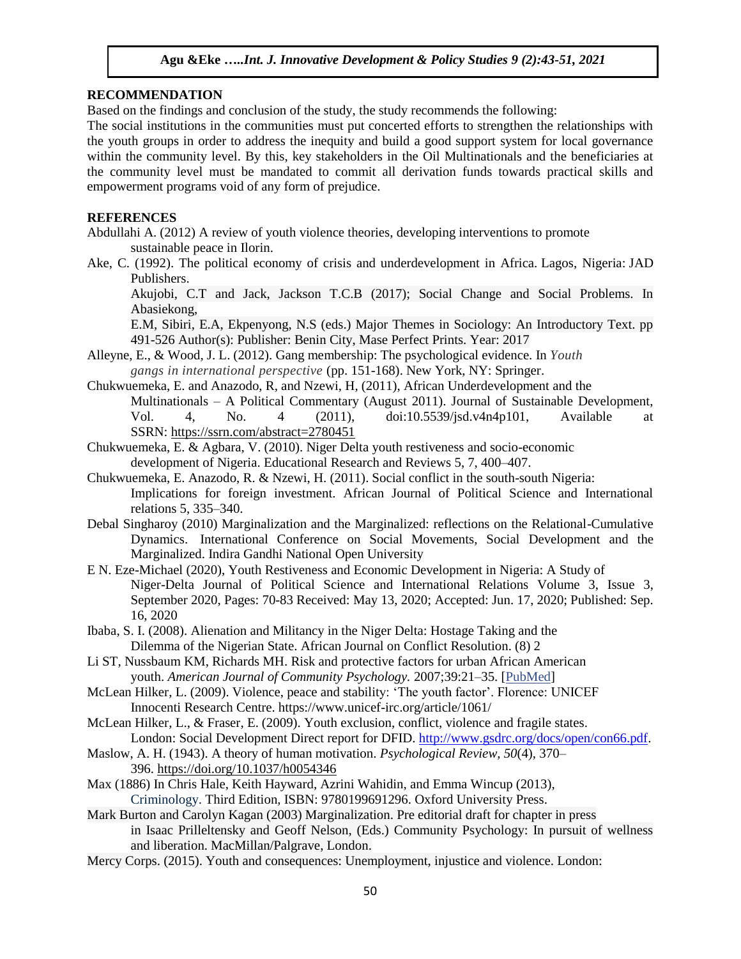## **RECOMMENDATION**

Based on the findings and conclusion of the study, the study recommends the following:

The social institutions in the communities must put concerted efforts to strengthen the relationships with the youth groups in order to address the inequity and build a good support system for local governance within the community level. By this, key stakeholders in the Oil Multinationals and the beneficiaries at the community level must be mandated to commit all derivation funds towards practical skills and empowerment programs void of any form of prejudice.

## **REFERENCES**

Abdullahi A. (2012) A review of youth violence theories, developing interventions to promote sustainable peace in Ilorin.

Ake, C. (1992). The political economy of crisis and underdevelopment in Africa. Lagos, Nigeria: JAD Publishers.

Akujobi, C.T and Jack, Jackson T.C.B (2017); Social Change and Social Problems. In Abasiekong,

E.M, Sibiri, E.A, Ekpenyong, N.S (eds.) Major Themes in Sociology: An Introductory Text. pp 491-526 Author(s): Publisher: Benin City, Mase Perfect Prints. Year: 2017

- Alleyne, E., & Wood, J. L. (2012). Gang membership: The psychological evidence. In *Youth gangs in international perspective* (pp. 151-168). New York, NY: Springer.
- Chukwuemeka, E. and Anazodo, R, and Nzewi, H, (2011), African Underdevelopment and the Multinationals – A Political Commentary (August 2011). Journal of Sustainable Development, Vol. 4, No. 4 (2011), doi:10.5539/jsd.v4n4p101, Available at SSRN: <https://ssrn.com/abstract=2780451>
- Chukwuemeka, E. & Agbara, V. (2010). Niger Delta youth restiveness and socio-economic development of Nigeria. Educational Research and Reviews 5, 7, 400–407.
- Chukwuemeka, E. Anazodo, R. & Nzewi, H. (2011). Social conflict in the south-south Nigeria: Implications for foreign investment. African Journal of Political Science and International relations 5, 335–340.
- Debal Singharoy (2010) Marginalization and the Marginalized: reflections on the Relational-Cumulative Dynamics. [International Conference on Social Movements, Social](https://www.researchgate.net/project/International-Conference-on-Social-Movements-Social-Develpment-and-the-Marginalised) [Development](https://www.researchgate.net/project/International-Conference-on-Social-Movements-Social-Develpment-and-the-Marginalised) [and the](https://www.researchgate.net/project/International-Conference-on-Social-Movements-Social-Develpment-and-the-Marginalised)  [Marginalized.](https://www.researchgate.net/project/International-Conference-on-Social-Movements-Social-Develpment-and-the-Marginalised) Indira Gandhi National Open University
- E N. Eze-Michael (2020), Youth Restiveness and Economic Development in Nigeria: A Study of Niger-Delta Journal of Political Science and International Relations Volume 3, Issue 3, September 2020, Pages: 70-83 Received: May 13, 2020; Accepted: Jun. 17, 2020; Published: Sep. 16, 2020
- Ibaba, S. I. (2008). Alienation and Militancy in the Niger Delta: Hostage Taking and the Dilemma of the Nigerian State. African Journal on Conflict Resolution. (8) 2
- Li ST, Nussbaum KM, Richards MH. Risk and protective factors for urban African American youth. *American Journal of Community Psychology.* 2007;39:21–35. [\[PubMed\]](https://www.ncbi.nlm.nih.gov/pubmed/17380378)
- McLean Hilker, L. (2009). Violence, peace and stability: 'The youth factor'. Florence: UNICEF Innocenti Research Centre. https://www.unicef-irc.org/article/1061/
- McLean Hilker, L., & Fraser, E. (2009). Youth exclusion, conflict, violence and fragile states. London: Social Development Direct report for DFID. [http://www.gsdrc.org/docs/open/con66.pdf.](http://www.gsdrc.org/docs/open/con66.pdf)
- Maslow, A. H. (1943). A theory of human motivation. *Psychological Review, 50*(4), 370– 396. [https://doi.org/10.1037/h0054346](https://psycnet.apa.org/doi/10.1037/h0054346)
- Max (1886) In Chris Hale, Keith Hayward, Azrini Wahidin, and Emma Wincup (2013), Criminology. Third Edition, ISBN: 9780199691296. Oxford University Press.
- Mark Burton and Carolyn Kagan (2003) Marginalization. Pre editorial draft for chapter in press in Isaac Prilleltensky and Geoff Nelson, (Eds.) Community Psychology: In pursuit of wellness and liberation. MacMillan/Palgrave, London.
- Mercy Corps. (2015). Youth and consequences: Unemployment, injustice and violence. London: